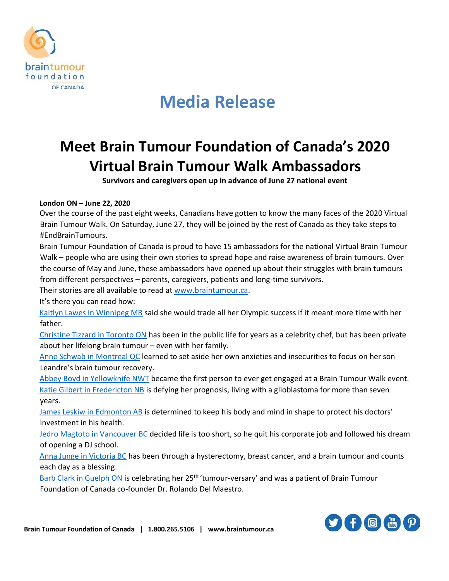

# **Media Release**

### **Meet Brain Tumour Foundation of Canada's 2020 Virtual Brain Tumour Walk Ambassadors**

**Survivors and caregivers open up in advance of June 27 national event**

#### **London ON – June 22, 2020**

Over the course of the past eight weeks, Canadians have gotten to know the many faces of the 2020 Virtual Brain Tumour Walk. On Saturday, June 27, they will be joined by the rest of Canada as they take steps to #EndBrainTumours.

Brain Tumour Foundation of Canada is proud to have 15 ambassadors for the national Virtual Brain Tumour Walk – people who are using their own stories to spread hope and raise awareness of brain tumours. Over the course of May and June, these ambassadors have opened up about their struggles with brain tumours from different perspectives – parents, caregivers, patients and long-time survivors.

Their stories are all available to read at [www.braintumour.ca.](http://www.braintumour.ca/)

It's there you can read how:

[Kaitlyn Lawes in Winnipeg MB](https://www.braintumour.ca/blog/brain-tumour-walk/my-story-by-kaitlyn-lawes/) said she would trade all her Olympic success if it meant more time with her father.

[Christine Tizzard in Toronto ON](https://www.braintumour.ca/blog/brain-tumour-walk/something-to-talk-about-christines-story/) has been in the public life for years as a celebrity chef, but has been private about her lifelong brain tumour – even with her family.

[Anne Schwab in Montreal QC](https://www.braintumour.ca/blog/brain-tumour-walk/overcoming-anxiety-annes-story/) learned to set aside her own anxieties and insecurities to focus on her son Leandre's brain tumour recovery.

[Abbey Boyd in Yellowknife NWT](https://www.braintumour.ca/stories/i-am-a-stone-abbeys-story/) became the first person to ever get engaged at a Brain Tumour Walk event. [Katie Gilbert in Fredericton NB](https://www.braintumour.ca/blog/brain-tumour-walk/choosing-strength-katies-story/) is defying her prognosis, living with a glioblastoma for more than seven years.

[James Leskiw in Edmonton AB](https://www.braintumour.ca/blog/brain-tumour-walk/invest-in-yourself/) is determined to keep his body and mind in shape to protect his doctors' investment in his health.

[Jedro Magtoto in Vancouver BC](https://www.braintumour.ca/stories/cancer-as-a-catalyst-jedros-story/) decided life is too short, so he quit his corporate job and followed his dream of opening a DJ school.

[Anna Junge in Victoria BC](https://www.braintumour.ca/blog/im-not-a-superhero-or-am-i-annas-story/) has been through a hysterectomy, breast cancer, and a brain tumour and counts each day as a blessing.

[Barb Clark in Guelph ON](https://www.braintumour.ca/blog/brain-tumour-walk/25th-tumour-versary-barbs-story/) is celebrating her 25<sup>th</sup> 'tumour-versary' and was a patient of Brain Tumour Foundation of Canada co-founder Dr. Rolando Del Maestro.

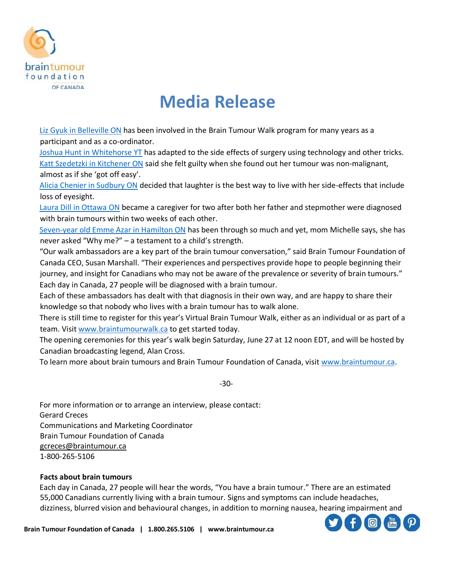

# **Media Release**

[Liz Gyuk in Belleville ON](https://www.braintumour.ca/blog/brain-tumour-walk/from-survivor-to-walk-convener-lizs-story/) has been involved in the Brain Tumour Walk program for many years as a participant and as a co-ordinator.

[Joshua Hunt in Whitehorse YT](https://www.braintumour.ca/stories/aspire-adapt-achieve-joshuas-story/) has adapted to the side effects of surgery using technology and other tricks. [Katt Szedetzki in Kitchener ON](https://www.braintumour.ca/stories/metamorphosis-katts-story/) said she felt guilty when she found out her tumour was non-malignant, almost as if she 'got off easy'.

[Alicia Chenier in Sudbury ON](https://www.braintumour.ca/stories/alicias-story/) decided that laughter is the best way to live with her side-effects that include loss of eyesight.

[Laura Dill in Ottawa ON](https://www.braintumour.ca/blog/brain-tumour-walk/its-okay-to-not-be-okay-lauras-story/) became a caregiver for two after both her father and stepmother were diagnosed with brain tumours within two weeks of each other.

[Seven-year old Emme Azar in Hamilton ON](https://www.braintumour.ca/blog/brain-tumour-walk/ready-a-childs-strength-emmes-story/) has been through so much and yet, mom Michelle says, she has never asked "Why me?" – a testament to a child's strength.

"Our walk ambassadors are a key part of the brain tumour conversation," said Brain Tumour Foundation of Canada CEO, Susan Marshall. "Their experiences and perspectives provide hope to people beginning their journey, and insight for Canadians who may not be aware of the prevalence or severity of brain tumours." Each day in Canada, 27 people will be diagnosed with a brain tumour.

Each of these ambassadors has dealt with that diagnosis in their own way, and are happy to share their knowledge so that nobody who lives with a brain tumour has to walk alone.

There is still time to register for this year's Virtual Brain Tumour Walk, either as an individual or as part of a team. Visit [www.braintumourwalk.ca](http://www.braintumourwalk.ca/) to get started today.

The opening ceremonies for this year's walk begin Saturday, June 27 at 12 noon EDT, and will be hosted by Canadian broadcasting legend, Alan Cross.

To learn more about brain tumours and Brain Tumour Foundation of Canada, visit [www.braintumour.ca.](http://www.braintumour.ca/)

-30-

For more information or to arrange an interview, please contact: Gerard Creces Communications and Marketing Coordinator Brain Tumour Foundation of Canada [gcreces@braintumour.ca](mailto:gcreces@braintumour.ca) 1-800-265-5106

#### **Facts about brain tumours**

Each day in Canada, 27 people will hear the words, "You have a brain tumour." There are an estimated 55,000 Canadians currently living with a brain tumour. Signs and symptoms can include headaches, dizziness, blurred vision and behavioural changes, in addition to morning nausea, hearing impairment and